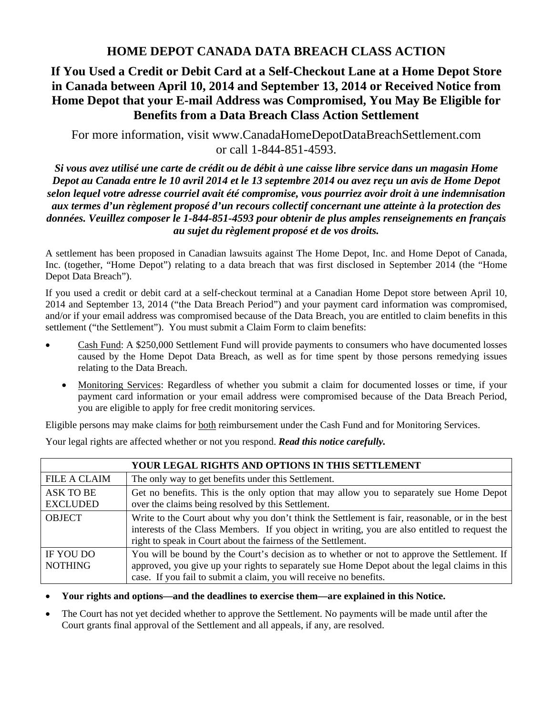# **HOME DEPOT CANADA DATA BREACH CLASS ACTION**

# **If You Used a Credit or Debit Card at a Self-Checkout Lane at a Home Depot Store in Canada between April 10, 2014 and September 13, 2014 or Received Notice from Home Depot that your E-mail Address was Compromised, You May Be Eligible for Benefits from a Data Breach Class Action Settlement**

For more information, visit www.CanadaHomeDepotDataBreachSettlement.com or call 1-844-851-4593.

*Si vous avez utilisé une carte de crédit ou de débit à une caisse libre service dans un magasin Home Depot au Canada entre le 10 avril 2014 et le 13 septembre 2014 ou avez reçu un avis de Home Depot selon lequel votre adresse courriel avait été compromise, vous pourriez avoir droit à une indemnisation aux termes d'un règlement proposé d'un recours collectif concernant une atteinte à la protection des données. Veuillez composer le 1-844-851-4593 pour obtenir de plus amples renseignements en français au sujet du règlement proposé et de vos droits.* 

A settlement has been proposed in Canadian lawsuits against The Home Depot, Inc. and Home Depot of Canada, Inc. (together, "Home Depot") relating to a data breach that was first disclosed in September 2014 (the "Home Depot Data Breach").

If you used a credit or debit card at a self-checkout terminal at a Canadian Home Depot store between April 10, 2014 and September 13, 2014 ("the Data Breach Period") and your payment card information was compromised, and/or if your email address was compromised because of the Data Breach, you are entitled to claim benefits in this settlement ("the Settlement"). You must submit a Claim Form to claim benefits:

- Cash Fund: A \$250,000 Settlement Fund will provide payments to consumers who have documented losses caused by the Home Depot Data Breach, as well as for time spent by those persons remedying issues relating to the Data Breach.
	- Monitoring Services: Regardless of whether you submit a claim for documented losses or time, if your payment card information or your email address were compromised because of the Data Breach Period, you are eligible to apply for free credit monitoring services.

Eligible persons may make claims for both reimbursement under the Cash Fund and for Monitoring Services.

| YOUR LEGAL RIGHTS AND OPTIONS IN THIS SETTLEMENT |                                                                                                                                                                                                                                                                     |  |
|--------------------------------------------------|---------------------------------------------------------------------------------------------------------------------------------------------------------------------------------------------------------------------------------------------------------------------|--|
| <b>FILE A CLAIM</b>                              | The only way to get benefits under this Settlement.                                                                                                                                                                                                                 |  |
| ASK TO BE<br><b>EXCLUDED</b>                     | Get no benefits. This is the only option that may allow you to separately sue Home Depot<br>over the claims being resolved by this Settlement.                                                                                                                      |  |
| <b>OBJECT</b>                                    | Write to the Court about why you don't think the Settlement is fair, reasonable, or in the best<br>interests of the Class Members. If you object in writing, you are also entitled to request the<br>right to speak in Court about the fairness of the Settlement.  |  |
| IF YOU DO<br><b>NOTHING</b>                      | You will be bound by the Court's decision as to whether or not to approve the Settlement. If<br>approved, you give up your rights to separately sue Home Depot about the legal claims in this<br>case. If you fail to submit a claim, you will receive no benefits. |  |

Your legal rights are affected whether or not you respond. *Read this notice carefully.*

**Your rights and options—and the deadlines to exercise them—are explained in this Notice.** 

 The Court has not yet decided whether to approve the Settlement. No payments will be made until after the Court grants final approval of the Settlement and all appeals, if any, are resolved.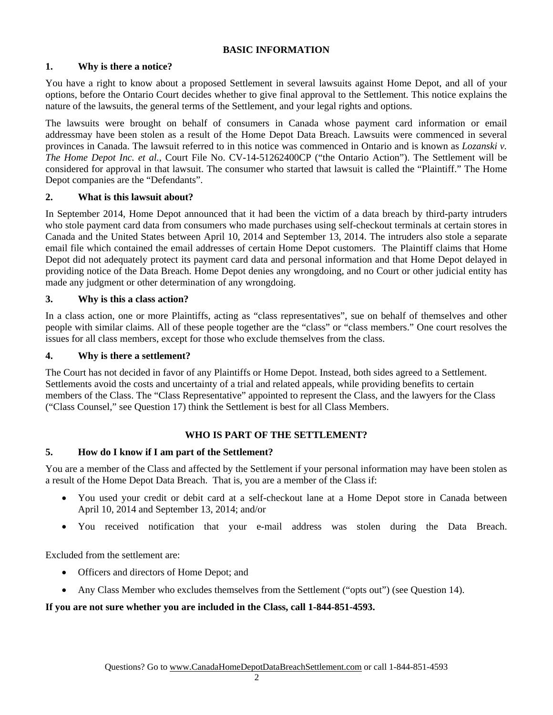# **BASIC INFORMATION**

# **1. Why is there a notice?**

You have a right to know about a proposed Settlement in several lawsuits against Home Depot, and all of your options, before the Ontario Court decides whether to give final approval to the Settlement. This notice explains the nature of the lawsuits, the general terms of the Settlement, and your legal rights and options.

The lawsuits were brought on behalf of consumers in Canada whose payment card information or email addressmay have been stolen as a result of the Home Depot Data Breach. Lawsuits were commenced in several provinces in Canada. The lawsuit referred to in this notice was commenced in Ontario and is known as *Lozanski v. The Home Depot Inc. et al.*, Court File No. CV-14-51262400CP ("the Ontario Action"). The Settlement will be considered for approval in that lawsuit. The consumer who started that lawsuit is called the "Plaintiff." The Home Depot companies are the "Defendants".

#### **2. What is this lawsuit about?**

In September 2014, Home Depot announced that it had been the victim of a data breach by third-party intruders who stole payment card data from consumers who made purchases using self-checkout terminals at certain stores in Canada and the United States between April 10, 2014 and September 13, 2014. The intruders also stole a separate email file which contained the email addresses of certain Home Depot customers. The Plaintiff claims that Home Depot did not adequately protect its payment card data and personal information and that Home Depot delayed in providing notice of the Data Breach. Home Depot denies any wrongdoing, and no Court or other judicial entity has made any judgment or other determination of any wrongdoing.

#### **3. Why is this a class action?**

In a class action, one or more Plaintiffs, acting as "class representatives", sue on behalf of themselves and other people with similar claims. All of these people together are the "class" or "class members." One court resolves the issues for all class members, except for those who exclude themselves from the class.

#### **4. Why is there a settlement?**

The Court has not decided in favor of any Plaintiffs or Home Depot. Instead, both sides agreed to a Settlement. Settlements avoid the costs and uncertainty of a trial and related appeals, while providing benefits to certain members of the Class. The "Class Representative" appointed to represent the Class, and the lawyers for the Class ("Class Counsel," see Question 17) think the Settlement is best for all Class Members.

# **WHO IS PART OF THE SETTLEMENT?**

# **5. How do I know if I am part of the Settlement?**

You are a member of the Class and affected by the Settlement if your personal information may have been stolen as a result of the Home Depot Data Breach. That is, you are a member of the Class if:

- You used your credit or debit card at a self-checkout lane at a Home Depot store in Canada between April 10, 2014 and September 13, 2014; and/or
- You received notification that your e-mail address was stolen during the Data Breach.

Excluded from the settlement are:

- Officers and directors of Home Depot; and
- Any Class Member who excludes themselves from the Settlement ("opts out") (see Question 14).

# **If you are not sure whether you are included in the Class, call 1-844-851-4593.**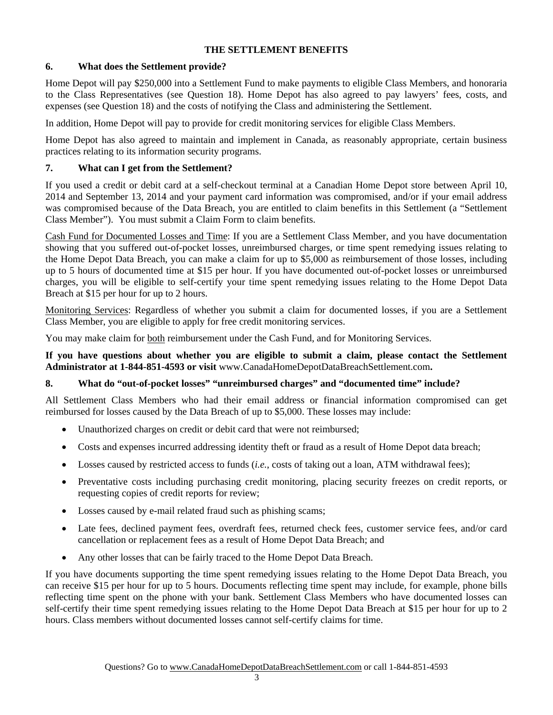# **THE SETTLEMENT BENEFITS**

# **6. What does the Settlement provide?**

Home Depot will pay \$250,000 into a Settlement Fund to make payments to eligible Class Members, and honoraria to the Class Representatives (see Question 18). Home Depot has also agreed to pay lawyers' fees, costs, and expenses (see Question 18) and the costs of notifying the Class and administering the Settlement.

In addition, Home Depot will pay to provide for credit monitoring services for eligible Class Members.

Home Depot has also agreed to maintain and implement in Canada, as reasonably appropriate, certain business practices relating to its information security programs.

# **7. What can I get from the Settlement?**

If you used a credit or debit card at a self-checkout terminal at a Canadian Home Depot store between April 10, 2014 and September 13, 2014 and your payment card information was compromised, and/or if your email address was compromised because of the Data Breach, you are entitled to claim benefits in this Settlement (a "Settlement Class Member"). You must submit a Claim Form to claim benefits.

Cash Fund for Documented Losses and Time: If you are a Settlement Class Member, and you have documentation showing that you suffered out-of-pocket losses, unreimbursed charges, or time spent remedying issues relating to the Home Depot Data Breach, you can make a claim for up to \$5,000 as reimbursement of those losses, including up to 5 hours of documented time at \$15 per hour. If you have documented out-of-pocket losses or unreimbursed charges, you will be eligible to self-certify your time spent remedying issues relating to the Home Depot Data Breach at \$15 per hour for up to 2 hours.

Monitoring Services: Regardless of whether you submit a claim for documented losses, if you are a Settlement Class Member, you are eligible to apply for free credit monitoring services.

You may make claim for both reimbursement under the Cash Fund, and for Monitoring Services.

**If you have questions about whether you are eligible to submit a claim, please contact the Settlement Administrator at 1-844-851-4593 or visit** www.CanadaHomeDepotDataBreachSettlement.com**.** 

# **8. What do "out-of-pocket losses" "unreimbursed charges" and "documented time" include?**

All Settlement Class Members who had their email address or financial information compromised can get reimbursed for losses caused by the Data Breach of up to \$5,000. These losses may include:

- Unauthorized charges on credit or debit card that were not reimbursed;
- Costs and expenses incurred addressing identity theft or fraud as a result of Home Depot data breach;
- Losses caused by restricted access to funds (*i.e.*, costs of taking out a loan, ATM withdrawal fees);
- Preventative costs including purchasing credit monitoring, placing security freezes on credit reports, or requesting copies of credit reports for review;
- Losses caused by e-mail related fraud such as phishing scams;
- Late fees, declined payment fees, overdraft fees, returned check fees, customer service fees, and/or card cancellation or replacement fees as a result of Home Depot Data Breach; and
- Any other losses that can be fairly traced to the Home Depot Data Breach.

If you have documents supporting the time spent remedying issues relating to the Home Depot Data Breach, you can receive \$15 per hour for up to 5 hours. Documents reflecting time spent may include, for example, phone bills reflecting time spent on the phone with your bank. Settlement Class Members who have documented losses can self-certify their time spent remedying issues relating to the Home Depot Data Breach at \$15 per hour for up to 2 hours. Class members without documented losses cannot self-certify claims for time.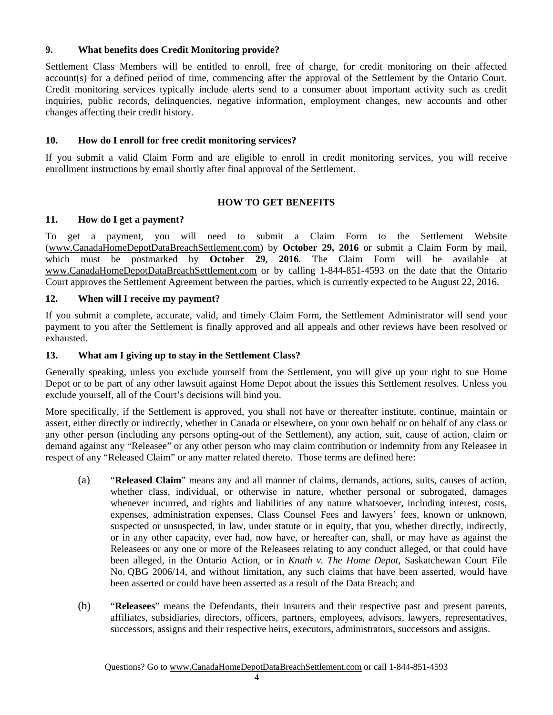# **9. What benefits does Credit Monitoring provide?**

Settlement Class Members will be entitled to enroll, free of charge, for credit monitoring on their affected account(s) for a defined period of time, commencing after the approval of the Settlement by the Ontario Court. Credit monitoring services typically include alerts send to a consumer about important activity such as credit inquiries, public records, delinquencies, negative information, employment changes, new accounts and other changes affecting their credit history.

# **10. How do I enroll for free credit monitoring services?**

If you submit a valid Claim Form and are eligible to enroll in credit monitoring services, you will receive enrollment instructions by email shortly after final approval of the Settlement.

# **HOW TO GET BENEFITS**

# **11. How do I get a payment?**

To get a payment, you will need to submit a Claim Form to the Settlement Website (www.CanadaHomeDepotDataBreachSettlement.com) by **October 29, 2016** or submit a Claim Form by mail, which must be postmarked by **October 29, 2016**. The Claim Form will be available at www.CanadaHomeDepotDataBreachSettlement.com or by calling 1-844-851-4593 on the date that the Ontario Court approves the Settlement Agreement between the parties, which is currently expected to be August 22, 2016.

# **12. When will I receive my payment?**

If you submit a complete, accurate, valid, and timely Claim Form, the Settlement Administrator will send your payment to you after the Settlement is finally approved and all appeals and other reviews have been resolved or exhausted.

#### **13. What am I giving up to stay in the Settlement Class?**

Generally speaking, unless you exclude yourself from the Settlement, you will give up your right to sue Home Depot or to be part of any other lawsuit against Home Depot about the issues this Settlement resolves. Unless you exclude yourself, all of the Court's decisions will bind you.

More specifically, if the Settlement is approved, you shall not have or thereafter institute, continue, maintain or assert, either directly or indirectly, whether in Canada or elsewhere, on your own behalf or on behalf of any class or any other person (including any persons opting-out of the Settlement), any action, suit, cause of action, claim or demand against any "Releasee" or any other person who may claim contribution or indemnity from any Releasee in respect of any "Released Claim" or any matter related thereto. Those terms are defined here:

- (a) "**Released Claim**" means any and all manner of claims, demands, actions, suits, causes of action, whether class, individual, or otherwise in nature, whether personal or subrogated, damages whenever incurred, and rights and liabilities of any nature whatsoever, including interest, costs, expenses, administration expenses, Class Counsel Fees and lawyers' fees, known or unknown, suspected or unsuspected, in law, under statute or in equity, that you, whether directly, indirectly, or in any other capacity, ever had, now have, or hereafter can, shall, or may have as against the Releasees or any one or more of the Releasees relating to any conduct alleged, or that could have been alleged, in the Ontario Action, or in *Knuth v. The Home Depot*, Saskatchewan Court File No. QBG 2006/14, and without limitation, any such claims that have been asserted, would have been asserted or could have been asserted as a result of the Data Breach; and
- (b) "**Releasees**" means the Defendants, their insurers and their respective past and present parents, affiliates, subsidiaries, directors, officers, partners, employees, advisors, lawyers, representatives, successors, assigns and their respective heirs, executors, administrators, successors and assigns.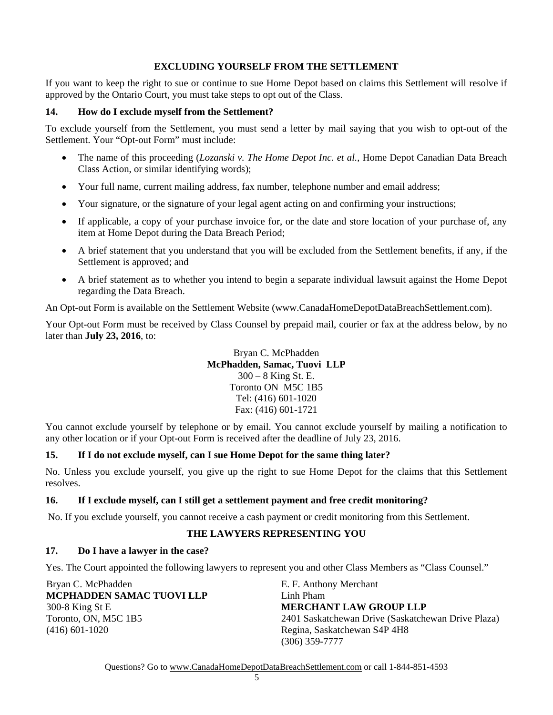# **EXCLUDING YOURSELF FROM THE SETTLEMENT**

If you want to keep the right to sue or continue to sue Home Depot based on claims this Settlement will resolve if approved by the Ontario Court, you must take steps to opt out of the Class.

#### **14. How do I exclude myself from the Settlement?**

To exclude yourself from the Settlement, you must send a letter by mail saying that you wish to opt-out of the Settlement. Your "Opt-out Form" must include:

- The name of this proceeding (*Lozanski v. The Home Depot Inc. et al.*, Home Depot Canadian Data Breach Class Action, or similar identifying words);
- Your full name, current mailing address, fax number, telephone number and email address;
- Your signature, or the signature of your legal agent acting on and confirming your instructions;
- If applicable, a copy of your purchase invoice for, or the date and store location of your purchase of, any item at Home Depot during the Data Breach Period;
- A brief statement that you understand that you will be excluded from the Settlement benefits, if any, if the Settlement is approved; and
- A brief statement as to whether you intend to begin a separate individual lawsuit against the Home Depot regarding the Data Breach.

An Opt-out Form is available on the Settlement Website (www.CanadaHomeDepotDataBreachSettlement.com).

Your Opt-out Form must be received by Class Counsel by prepaid mail, courier or fax at the address below, by no later than **July 23, 2016**, to:

> Bryan C. McPhadden **McPhadden, Samac, Tuovi LLP** 300 – 8 King St. E. Toronto ON M5C 1B5 Tel: (416) 601-1020 Fax: (416) 601-1721

You cannot exclude yourself by telephone or by email. You cannot exclude yourself by mailing a notification to any other location or if your Opt-out Form is received after the deadline of July 23, 2016.

# **15. If I do not exclude myself, can I sue Home Depot for the same thing later?**

No. Unless you exclude yourself, you give up the right to sue Home Depot for the claims that this Settlement resolves.

#### **16. If I exclude myself, can I still get a settlement payment and free credit monitoring?**

No. If you exclude yourself, you cannot receive a cash payment or credit monitoring from this Settlement.

#### **THE LAWYERS REPRESENTING YOU**

#### **17. Do I have a lawyer in the case?**

Yes. The Court appointed the following lawyers to represent you and other Class Members as "Class Counsel."

| Bryan C. McPhadden               | E. F. Anthony Merchant                             |
|----------------------------------|----------------------------------------------------|
| <b>MCPHADDEN SAMAC TUOVI LLP</b> | Linh Pham                                          |
| 300-8 King St E                  | <b>MERCHANT LAW GROUP LLP</b>                      |
| Toronto, ON, M5C 1B5             | 2401 Saskatchewan Drive (Saskatchewan Drive Plaza) |
| $(416)$ 601-1020                 | Regina, Saskatchewan S4P 4H8                       |
|                                  | $(306)$ 359-7777                                   |

Questions? Go to www.CanadaHomeDepotDataBreachSettlement.com or call 1-844-851-4593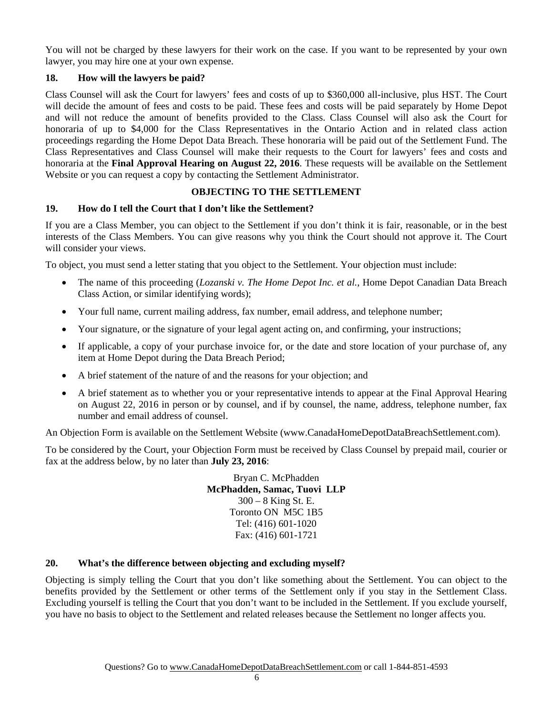You will not be charged by these lawyers for their work on the case. If you want to be represented by your own lawyer, you may hire one at your own expense.

# **18. How will the lawyers be paid?**

Class Counsel will ask the Court for lawyers' fees and costs of up to \$360,000 all-inclusive, plus HST. The Court will decide the amount of fees and costs to be paid. These fees and costs will be paid separately by Home Depot and will not reduce the amount of benefits provided to the Class. Class Counsel will also ask the Court for honoraria of up to \$4,000 for the Class Representatives in the Ontario Action and in related class action proceedings regarding the Home Depot Data Breach. These honoraria will be paid out of the Settlement Fund. The Class Representatives and Class Counsel will make their requests to the Court for lawyers' fees and costs and honoraria at the **Final Approval Hearing on August 22, 2016**. These requests will be available on the Settlement Website or you can request a copy by contacting the Settlement Administrator.

# **OBJECTING TO THE SETTLEMENT**

# **19. How do I tell the Court that I don't like the Settlement?**

If you are a Class Member, you can object to the Settlement if you don't think it is fair, reasonable, or in the best interests of the Class Members. You can give reasons why you think the Court should not approve it. The Court will consider your views.

To object, you must send a letter stating that you object to the Settlement. Your objection must include:

- The name of this proceeding (*Lozanski v. The Home Depot Inc. et al.*, Home Depot Canadian Data Breach Class Action, or similar identifying words);
- Your full name, current mailing address, fax number, email address, and telephone number;
- Your signature, or the signature of your legal agent acting on, and confirming, your instructions;
- If applicable, a copy of your purchase invoice for, or the date and store location of your purchase of, any item at Home Depot during the Data Breach Period;
- A brief statement of the nature of and the reasons for your objection; and
- A brief statement as to whether you or your representative intends to appear at the Final Approval Hearing on August 22, 2016 in person or by counsel, and if by counsel, the name, address, telephone number, fax number and email address of counsel.

An Objection Form is available on the Settlement Website (www.CanadaHomeDepotDataBreachSettlement.com).

To be considered by the Court, your Objection Form must be received by Class Counsel by prepaid mail, courier or fax at the address below, by no later than **July 23, 2016**:

> Bryan C. McPhadden **McPhadden, Samac, Tuovi LLP** 300 – 8 King St. E. Toronto ON M5C 1B5 Tel: (416) 601-1020 Fax: (416) 601-1721

#### **20. What's the difference between objecting and excluding myself?**

Objecting is simply telling the Court that you don't like something about the Settlement. You can object to the benefits provided by the Settlement or other terms of the Settlement only if you stay in the Settlement Class. Excluding yourself is telling the Court that you don't want to be included in the Settlement. If you exclude yourself, you have no basis to object to the Settlement and related releases because the Settlement no longer affects you.